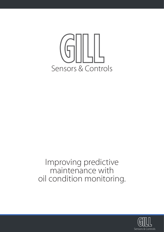

## Improving predictive maintenance with oil condition monitoring.

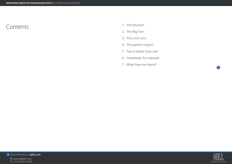

**E** support@gillsc.com<br>**T** +44 (0)1590 613900

- 
- 



- 1. Introduction
- 2. The 'Big Five'
- 3. Pros and cons
- 4. The perfect match?
- 5. Two is better than one
- 6. Gearboxes, for example
- 7. What have we learnt?

## Contents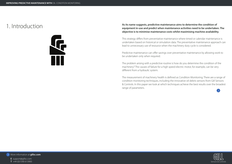

**E** support@gillsc.com





## As its name suggests, predictive maintenance aims to determine the condition of<br>equipment in-use and predict when maintenance activities need to be undertaken. The **objective is to minimise maintenance costs whilst maximising machine availability.**

This strategy differs from preventative maintenance where timed or calendar maintenance is undertaken based on historical or simulation data. The preventative maintenance approach can lead to unnecessary use of resource when the machinery duty cycle is considered.

Predictive maintenance can offer savings over preventative maintenance by allowing work to be undertaken only when required.

The problem arising with a predictive routine is how do you determine the condition of the machinery? The causes of failure for a high speed electric motor, for example, can be very different from a hydraulic system.

The measurement of machinery health is defined as Condition Monitoring. There are a range of condition monitoring techniques, including the innovative oil debris sensors from Gill Sensors & Controls. In this paper we look at which techniques achieve the best results over the broadest range of parameters.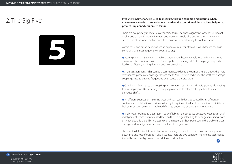

**E** support@gillsc.com

- 
- 





## 2. The 'Big Five' **Predictive maintenance is used to measure, through condition monitoring, when maintenance needs to be carried out based on the condition of the machine, helping to prevent unplanned equipment failure.**

There are five primary root causes of machine failure; balance, alignment, looseness, lubricant quality and contamination. Alignment and looseness could also be attributed to wear which can be one of the ways the two conditions arise, with wear leading to contamination.

Within these five broad headings lies an expansive number of ways in which failure can arise. Some of those most frequently encountered are;

 Bearing Defects – Bearings invariably operate under heavy, variable loads often in extreme environmental conditions. With the forces applied to bearings, defects can progress quickly leading to friction, bearing damage and gearbox failure.

 Shaft Misalignment – This can be a common issue due to the temperature changes the shaft experiences, particularly on longer length shafts. Stress developed inside the shaft can damage couplings; lead to bearing fatigue and even cause shaft breakage.

 Couplings – Damage to the coupling can be caused by misaligned shafts potentially leading to shaft separation. Badly damaged couplings can lead to rotor cracks, gearbox failure and damaged shafts.

 Insufficient Lubrication – Bearing wear and gear teeth damage caused by insufficient or contaminated lubrication contributes directly to equipment failure. However, inaccessibility or lack of inspection points can make it difficult to undertake oil condition monitoring.

 Broken/Worn/Chipped Gear Teeth – Lack of lubrication can cause excessive wear as can shaft misalignment which puts increased load on the input gear leading to poor gear meshing, both of which degrade the oil by increasing contamination, further exacerbating the problem. Gear damage and misalignment can lead to failure of the gearbox.

This is not a definitive list but indicative of the range of problems that can result in unplanned downtime and loss of output. It also illustrates there are two condition monitoring techniques that will cover the 'Big Five' – oil condition and vibration.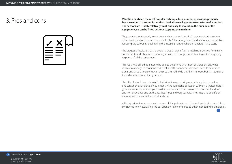

**E** support@gillsc.com





Vibration has been the most popular technique for a number of reasons, primarily<br>Because most of the conditions described above will generate some form of vibration. **The sensors are usually relatively small and easy to mount on the outside of the equipment, so can be fitted without stopping the machine.**

> They operate continuously in real time and can transmit to a PLC, asset monitoring system either hard wired or, in some cases, wirelessly. Alternatively, hand-held units are also available, reducing capital outlay, but limiting the measurement to where an operator has access.

> The biggest difficulty is that the overall vibration signal from a machine is derived from many components and vibration monitoring requires a thorough understanding of the frequency response of all the components.

> This requires a skilled operator to be able to determine what 'normal' vibrations are, what indicates a change in condition and what level the abnormal vibrations need to achieve to signal an alert. Some systems can be programmed to do this 'filtering' work, but still requires a trained operator to set the system up.

> The other factor to keep in mind is that vibration monitoring normally requires more than one sensor on each piece of equipment. Although each application will vary, a typical motor/ gearbox assembly, for example, could require four sensors – two on the motor at the drive and non-drive ends and on the gearbox input and output shafts. They may also be different measurement types such as radial and axial.

Although vibration sensors can be low cost, the potential need for multiple devices needs to be considered when evaluating the cost/benefit ratio compared to other monitoring technologies.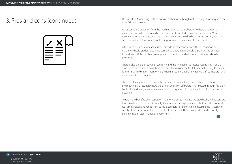

- **E** support@gillsc.com
- 
- 





Oil Condition Monitoring is also a popular technique although until recently, it too, required the use of skilled personnel.

An oil sample is drawn off from the machine and sent to a laboratory where a number of parameters would be measured and a report sent back to the machinery operator. More recently, analysis kits have been introduced that allow the oil to be analysed on-site, but they can have reduced functionality or less sophisticated measurement equipment.

Although a full laboratory analysis will provide an extensive view of the oil condition and machinery health, it does also have some drawbacks. It is relatively expensive, the oil needs to be drawn off the machine in a repeatable condition and oil contamination needs to be prevented.

There is also the delay between sampling and the time taken to receive results. It can be 2-3 days which introduces a downtime cost and if you suspect a fault it may be too long to prevent failure. As with vibration monitoring, the results require analysis by trained staff to interpret and understand them correctly.

The cost of analysis increases with the number of parameters measured and requires access to the machine at a location where the oil can be drawn off before it has passed through filtration. For health and safety reasons it may require the equipment to be halted whilst the oil sample is obtained.

To retain the benefits of oil condition monitoring but to mitigate the drawbacks, in-line sensors have now been developed. Generally they measure a single parameter but provide continual, real-time analysis and range from particle counters to sensors which measure the viscosity or acidity of the oil, an indicator of the state of the oil itself. They can report their data locally or transmit into an asset management system.

# 3. Pros and cons (continued)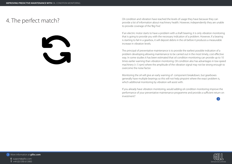

- **E** support@gillsc.com
- 
- 





A. The perfect match?<br>
Oil condition and vibration have reached the levels of usage they have because they can<br>
provide a lot of information about machinery health. However, independently they are ur provide a lot of information about machinery health. However, independently they are unable to provide coverage of the 'Big Five'.

> If an electric motor starts to have a problem with a shaft bearing, it is only vibration monitoring that is going to provide you with the necessary indication of a problem. However, if a bearing is starting to fail in a gearbox, it will deposit debris in the oil before it produces a measurable increase in vibration levels.

> The principal of preventative maintenance is to provide the earliest possible indication of a problem developing allowing maintenance to be carried out in the most timely, cost effective way. In some studies it has been estimated that oil condition monitoring can provide up to 10 times earlier warning than vibration monitoring. Oil condition also has advantages in low-speed machinery (< 5 rpm) where the amplitude of the vibration signal may not be strong enough to overcome the noise factor.

Monitoring the oil will give an early warning of component breakdown, but gearboxes generally have multiple bearings so this will not help pinpoint where the exact problem is, which additional monitoring by vibration will assist with.

If you already have vibration monitoring, would adding oil condition monitoring improve the performance of your preventative maintenance programme and provide a sufficient return on investment?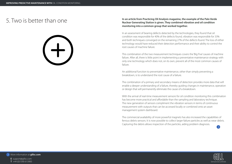

**E** support@gillsc.com

- 
- 





### In an article from Practicing Oil Analysis magazine, the example of the Palo Verde<br>
In an article from Practicing Oil Analysis magazine, the example of the Palo Verde<br> **In an article from Practicing Oil Analysis magazine, Nuclear Generating Station is given. They combined vibration and oil condition monitoring into a common group that worked together.**

In an assessment of bearing defects detected by the technologies, they found that oil condition was responsible for 40% of the defects found, vibration was responsible for 33% and both techniques converged on the remaining 27% of the defects found. The loss of either technology would have reduced their detection performance and their ability to control the root causes of machine failure.

This combination of the two measurement techniques covers the 'Big Five' causes of machine failure. After all, there is little point in implementing a preventative maintenance strategy with only one technology which does not, on its own, prevent all of the most common causes of failure.

An additional function to preventative maintenance, other than simply preventing a breakdown, is to understand the root cause of a failure.

The combination of a primary and secondary means of detection provides more data that will enable a deeper understanding of a failure, thereby guiding changes in maintenance, operation or design that will permanently eliminate the cause of a breakdown.

With the arrival of real-time measurement sensors for oil condition monitoring this combination has become more practical and affordable than the sampling and laboratory technique. The new generation of sensors compliment the vibration sensors in terms of continuous measurement with outputs that can be accessed locally or combined onto an asset management system dashboard.

The commercial availability of more powerful magnets has also increased the capabilities of ferrous debris sensors. It is now possible to collect larger failure particles as well as wear debris. Capturing the debris allows inspection of the particles, aiding problem diagnosis.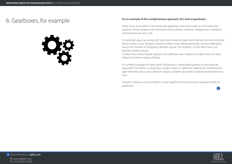

**E** support@gillsc.com

- 
- 





# 6. Gearboxes, for example **For an example of this complimentary approach, let's look at gearboxes.**

Pretty much every plant in the world uses gearboxes which are tough on most lubricants because of heat, aeration and chemically active particles. Likewise, misalignment, imbalance and looseness are also a risk.

Occasionally, gears go wrong, with gear tooth wear and gear tooth fracture the most common failure modes. Using vibration analysis to detect wear related gear faults can be challenging due to the number of competing vibration signals. Oil condition, on the other hand, can provide excellent results

in detecting contact fatigue, abrasion and adhesive wear, making it an ideal choice for early detection of these modes of failure.

It is unlikely breakage of a gear tooth will produce a detectable quantity of wear particles, especially if the failure is caused by a sudden impact or defective material. By monitoring the gear mesh frequency using vibration analysis a broken gear tooth would be pinpointed every time.

Together, vibration and oil condition come together for monitoring the essential health of gearboxes.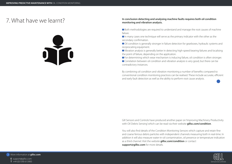

**E** support@gillsc.com

- 
- 





### **In conclusion detecting and analysing machine faults requires both oil condition monitoring and vibration analysis.**

 Both methodologies are required to understand and manage the root causes of machine failure.

 In many cases one technique will serve as the primary indicator with the other as the secondary confirmation.

 Oil condition is generally stronger in failure detection for gearboxes, hydraulic systems and reciprocating equipment.

 Vibration analysis is generally better in detecting high-speed bearing failures and localising the point of failure, depending on the application.

 For determining which wear mechanism is inducing failure, oil condition is often stronger. Correlation between oil condition and vibration analysis is very good, but there can be

contradictory instances.

By combining oil condition and vibration monitoring a number of benefits compared to conventional condition monitoring practices can be realised. These include accurate, efficient and early fault detection as well as the ability to perform root cause analysis.

## 7. What have we learnt?

Gill Sensors and Controls have produced another paper on 'Improving Machinery Productivity with Oil Debris Sensing' which can be read via their website **gillsc.com/condition**.

You will also find details of the Condition Monitoring Sensors which capture and retain fine and coarse ferrous debris particles with independent channels measuring both in real-time. In addition it will also measure water-in-oil contamination, oil presence or temperature indication as a third channel. Visit the website **gillsc.com/condition** or contact **support@gillsc.com** for more details.